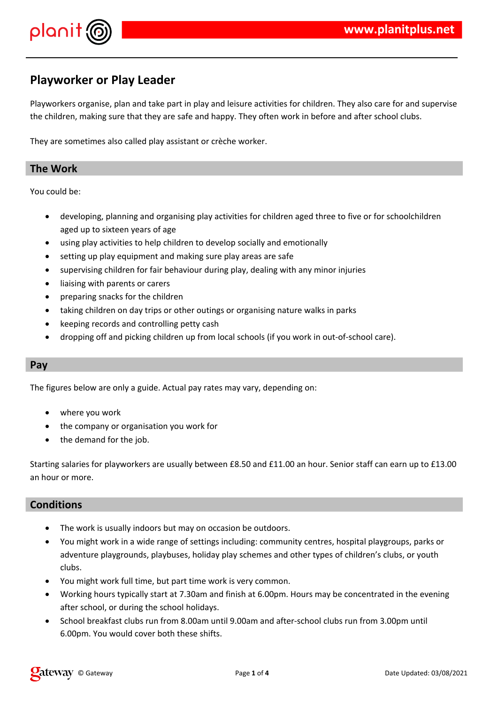

## **Playworker or Play Leader**

Playworkers organise, plan and take part in play and leisure activities for children. They also care for and supervise the children, making sure that they are safe and happy. They often work in before and after school clubs.

They are sometimes also called play assistant or crèche worker.

## **The Work**

You could be:

- developing, planning and organising play activities for children aged three to five or for schoolchildren aged up to sixteen years of age
- using play activities to help children to develop socially and emotionally
- setting up play equipment and making sure play areas are safe
- supervising children for fair behaviour during play, dealing with any minor injuries
- liaising with parents or carers
- preparing snacks for the children
- taking children on day trips or other outings or organising nature walks in parks
- keeping records and controlling petty cash
- dropping off and picking children up from local schools (if you work in out-of-school care).

#### **Pay**

The figures below are only a guide. Actual pay rates may vary, depending on:

- where you work
- the company or organisation you work for
- the demand for the job.

Starting salaries for playworkers are usually between £8.50 and £11.00 an hour. Senior staff can earn up to £13.00 an hour or more.

## **Conditions**

- The work is usually indoors but may on occasion be outdoors.
- You might work in a wide range of settings including: community centres, hospital playgroups, parks or adventure playgrounds, playbuses, holiday play schemes and other types of children's clubs, or youth clubs.
- You might work full time, but part time work is very common.
- Working hours typically start at 7.30am and finish at 6.00pm. Hours may be concentrated in the evening after school, or during the school holidays.
- School breakfast clubs run from 8.00am until 9.00am and after-school clubs run from 3.00pm until 6.00pm. You would cover both these shifts.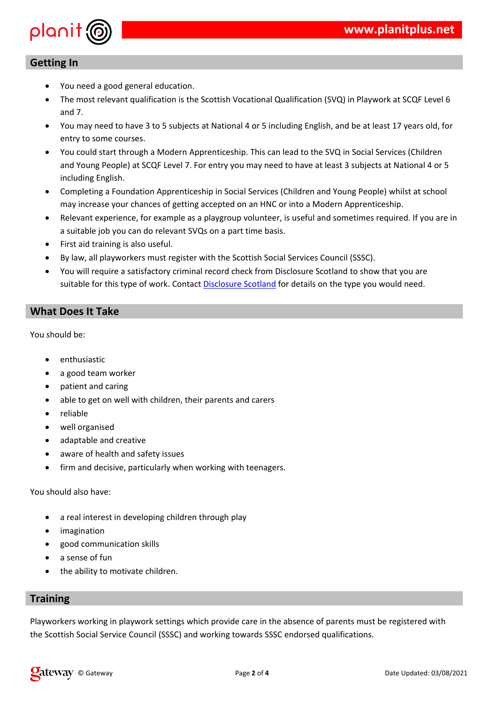

![](_page_1_Figure_1.jpeg)

|               | Ţ<br>$\, \, \$$                                                                |                              |                                                                                                                                                                                                                                                                                                                                                                                                                |              |  |
|---------------|--------------------------------------------------------------------------------|------------------------------|----------------------------------------------------------------------------------------------------------------------------------------------------------------------------------------------------------------------------------------------------------------------------------------------------------------------------------------------------------------------------------------------------------------|--------------|--|
|               | $\%$<br>$\%$                                                                   | $\mathbf{I}$<br>$\mathbf{I}$ | $\sim 1$                                                                                                                                                                                                                                                                                                                                                                                                       |              |  |
|               | %<br>$\mathbf{I}$<br>$\mathbf{I}$<br>$\, \, \raisebox{12pt}{$\scriptstyle \$}$ |                              | $\begin{array}{c} \rule{0pt}{2ex} \rule{0pt}{2ex} \rule{0pt}{2ex} \rule{0pt}{2ex} \rule{0pt}{2ex} \rule{0pt}{2ex} \rule{0pt}{2ex} \rule{0pt}{2ex} \rule{0pt}{2ex} \rule{0pt}{2ex} \rule{0pt}{2ex} \rule{0pt}{2ex} \rule{0pt}{2ex} \rule{0pt}{2ex} \rule{0pt}{2ex} \rule{0pt}{2ex} \rule{0pt}{2ex} \rule{0pt}{2ex} \rule{0pt}{2ex} \rule{0pt}{2ex} \rule{0pt}{2ex} \rule{0pt}{2ex} \rule{0pt}{2ex} \rule{0pt}{$ | $\mathbf{H}$ |  |
| $\mathcal{A}$ | $\pmb{\mathsf{I}}$<br>$\mathbf{I}%$                                            |                              |                                                                                                                                                                                                                                                                                                                                                                                                                |              |  |
|               | $\, \, \raisebox{12pt}{$\scriptstyle \$}$<br>\$ \$                             | $\mathbf{I}$<br>$\mathbf{I}$ | $\mathop{!}\nolimits$                                                                                                                                                                                                                                                                                                                                                                                          |              |  |
|               | $\%$<br>$\mathbf{I}$<br>$\, \, \raisebox{12pt}{$\scriptstyle \$}$              | Ţ                            | $\mathbf{u}$                                                                                                                                                                                                                                                                                                                                                                                                   |              |  |
|               |                                                                                |                              |                                                                                                                                                                                                                                                                                                                                                                                                                |              |  |
|               |                                                                                |                              |                                                                                                                                                                                                                                                                                                                                                                                                                |              |  |

|  | $\mathsf{P}_{\mathsf{O}}$ . The set of $\mathsf{P}_{\mathsf{O}}$                                                                                                                                                                                                                                          |  | $\frac{1}{2}$ $\frac{1}{2}$ $\frac{1}{2}$ $\frac{1}{2}$ $\frac{1}{2}$ $\frac{1}{2}$ $\frac{1}{2}$ $\frac{1}{2}$ $\frac{1}{2}$ $\frac{1}{2}$ $\frac{1}{2}$ $\frac{1}{2}$ $\frac{1}{2}$ $\frac{1}{2}$ $\frac{1}{2}$ $\frac{1}{2}$ $\frac{1}{2}$ $\frac{1}{2}$ $\frac{1}{2}$ $\frac{1}{2}$ $\frac{1}{2}$ $\frac{1}{2}$ |
|--|-----------------------------------------------------------------------------------------------------------------------------------------------------------------------------------------------------------------------------------------------------------------------------------------------------------|--|---------------------------------------------------------------------------------------------------------------------------------------------------------------------------------------------------------------------------------------------------------------------------------------------------------------------|
|  | $\frac{1}{2}$ / $\frac{1}{2}$ / $\frac{1}{2}$ / $\frac{1}{2}$ / $\frac{1}{2}$ / $\frac{1}{2}$ / $\frac{1}{2}$ / $\frac{1}{2}$ / $\frac{1}{2}$ / $\frac{1}{2}$ / $\frac{1}{2}$ / $\frac{1}{2}$ / $\frac{1}{2}$ / $\frac{1}{2}$ / $\frac{1}{2}$ / $\frac{1}{2}$ / $\frac{1}{2}$ / $\frac{1}{2}$ / $\frac{1$ |  |                                                                                                                                                                                                                                                                                                                     |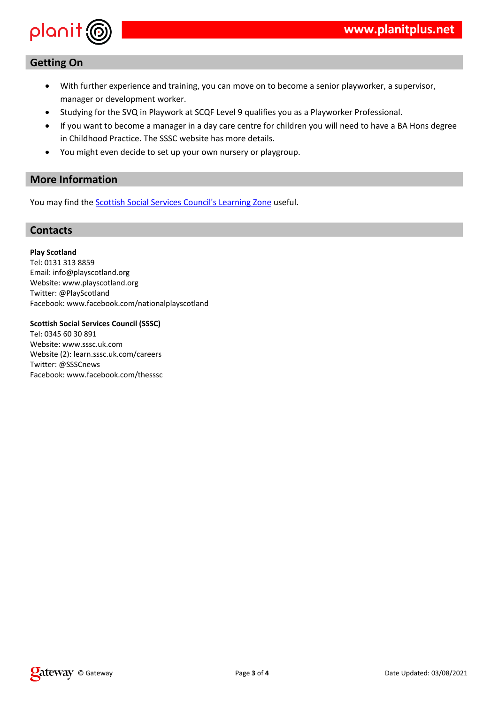| 3 !! (          |  |     |                  |              | \$           | %\$          |              |  |                                           |  |
|-----------------|--|-----|------------------|--------------|--------------|--------------|--------------|--|-------------------------------------------|--|
| \$              |  |     | \$               | $\mathbf{H}$ |              |              |              |  |                                           |  |
|                 |  | /89 |                  |              | / : 9 ; < 7) |              |              |  |                                           |  |
| B               |  | %   | \$\$             |              |              |              |              |  | $\begin{bmatrix} 1 & C & 6 \end{bmatrix}$ |  |
| $\pm 1$ $\pm 1$ |  |     | " #! $//\%$ ! \$ |              |              | $\mathbf{H}$ |              |  |                                           |  |
| $^{\circ}$      |  |     |                  |              |              |              | $\mathbf{H}$ |  |                                           |  |

 $\mathbf{u}$ 

## $\mathcal{L}^{\text{max}}_{\text{max}}$  and  $\mathcal{L}^{\text{max}}_{\text{max}}$  . The set of the  $\mathcal{L}^{\text{max}}_{\text{max}}$

 $\frac{1}{2}$  \$  $\frac{1}{2}$   $\frac{1}{2}$   $\frac{1}{2}$   $\frac{1}{2}$   $\frac{1}{2}$   $\frac{1}{2}$   $\frac{1}{2}$   $\frac{1}{2}$   $\frac{1}{2}$   $\frac{1}{2}$   $\frac{1}{2}$   $\frac{1}{2}$   $\frac{1}{2}$   $\frac{1}{2}$   $\frac{1}{2}$   $\frac{1}{2}$   $\frac{1}{2}$   $\frac{1}{2}$   $\frac{1}{2}$   $\frac{1}{2}$   $\frac{1}{2}$ 

|                                       |          | $\#$    |                |                |              |                             |  |
|---------------------------------------|----------|---------|----------------|----------------|--------------|-----------------------------|--|
|                                       |          |         |                |                |              |                             |  |
|                                       | $$$ #    |         |                |                |              |                             |  |
|                                       |          |         |                |                |              |                             |  |
| $\#$                                  |          |         |                | 17             |              |                             |  |
|                                       |          |         | F              |                |              | $\mathbf H$                 |  |
| $\begin{array}{c} ? \\ 3 \end{array}$ | $\%$     |         |                |                |              | $\pmb{\mathsf{H}}$          |  |
| $\#$                                  |          |         |                |                |              |                             |  |
|                                       |          | F       |                |                |              |                             |  |
| $\vdots$                              | $\%$     |         | ш              | $\%$           |              | п,<br>$\boldsymbol{\theta}$ |  |
|                                       |          |         |                |                |              |                             |  |
| $\$$ #                                |          |         | \$\$# % #      |                | #            | 8\$\$\$'                    |  |
|                                       |          |         |                |                |              |                             |  |
|                                       |          | $>1$ 57 |                |                |              |                             |  |
|                                       | #<br>3 % |         | $\mathbf{H}$   | $\mathbf{H}$ . | $\mathbf{H}$ | \$                          |  |
| $\mathfrak{S}$                        | $\%$     | $+$     | H              | $\mathbf H$    | п            | \$                          |  |
|                                       |          |         |                |                |              |                             |  |
| $\#$                                  |          |         | $F//$ :        |                |              |                             |  |
| $\vdots$                              | $\%$     |         | $\blacksquare$ | $\%$           |              | п<br>\$                     |  |